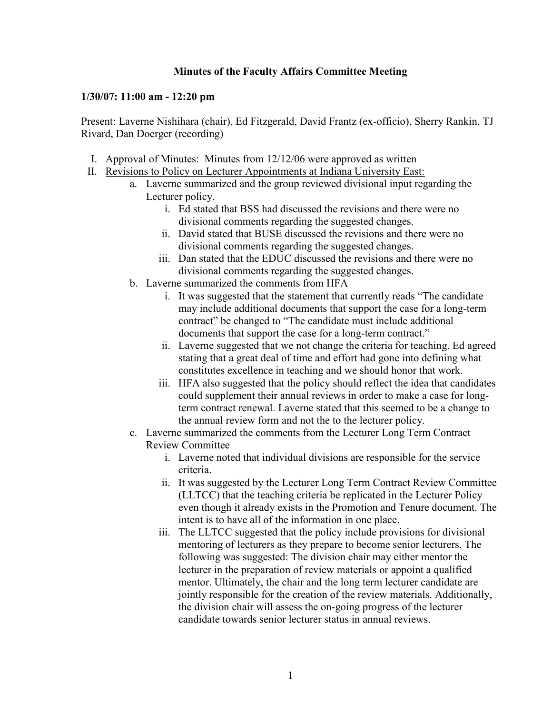## **Minutes of the Faculty Affairs Committee Meeting**

## **1/30/07: 11:00 am - 12:20 pm**

Present: Laverne Nishihara (chair), Ed Fitzgerald, David Frantz (ex-officio), Sherry Rankin, TJ Rivard, Dan Doerger (recording)

- I. Approval of Minutes: Minutes from 12/12/06 were approved as written
- II. Revisions to Policy on Lecturer Appointments at Indiana University East:
	- a. Laverne summarized and the group reviewed divisional input regarding the Lecturer policy.
		- i. Ed stated that BSS had discussed the revisions and there were no divisional comments regarding the suggested changes.
		- ii. David stated that BUSE discussed the revisions and there were no divisional comments regarding the suggested changes.
		- iii. Dan stated that the EDUC discussed the revisions and there were no divisional comments regarding the suggested changes.
	- b. Laverne summarized the comments from HFA
		- i. It was suggested that the statement that currently reads "The candidate may include additional documents that support the case for a long-term contract" be changed to "The candidate must include additional documents that support the case for a long-term contract."
		- ii. Laverne suggested that we not change the criteria for teaching. Ed agreed stating that a great deal of time and effort had gone into defining what constitutes excellence in teaching and we should honor that work.
		- iii. HFA also suggested that the policy should reflect the idea that candidates could supplement their annual reviews in order to make a case for longterm contract renewal. Laverne stated that this seemed to be a change to the annual review form and not the to the lecturer policy.
	- c. Laverne summarized the comments from the Lecturer Long Term Contract Review Committee
		- i. Laverne noted that individual divisions are responsible for the service criteria.
		- ii. It was suggested by the Lecturer Long Term Contract Review Committee (LLTCC) that the teaching criteria be replicated in the Lecturer Policy even though it already exists in the Promotion and Tenure document. The intent is to have all of the information in one place.
		- iii. The LLTCC suggested that the policy include provisions for divisional mentoring of lecturers as they prepare to become senior lecturers. The following was suggested: The division chair may either mentor the lecturer in the preparation of review materials or appoint a qualified mentor. Ultimately, the chair and the long term lecturer candidate are jointly responsible for the creation of the review materials. Additionally, the division chair will assess the on-going progress of the lecturer candidate towards senior lecturer status in annual reviews.